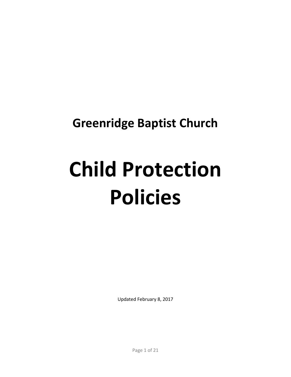**Greenridge Baptist Church**

# **Child Protection Policies**

Updated February 8, 2017

Page 1 of 21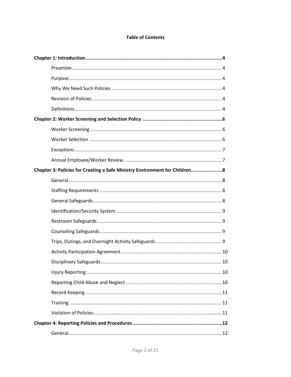#### **Table of Contents**

| Chapter 3: Policies for Creating a Safe Ministry Environment for Children8 |  |
|----------------------------------------------------------------------------|--|
|                                                                            |  |
|                                                                            |  |
|                                                                            |  |
|                                                                            |  |
|                                                                            |  |
|                                                                            |  |
|                                                                            |  |
|                                                                            |  |
|                                                                            |  |
|                                                                            |  |
|                                                                            |  |
|                                                                            |  |
|                                                                            |  |
|                                                                            |  |
|                                                                            |  |
|                                                                            |  |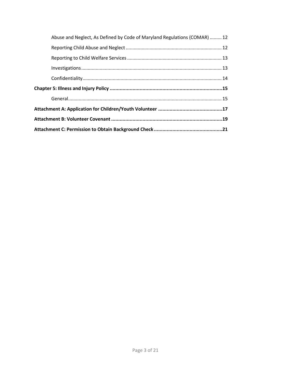| Abuse and Neglect, As Defined by Code of Maryland Regulations (COMAR)  12 |  |  |
|---------------------------------------------------------------------------|--|--|
|                                                                           |  |  |
|                                                                           |  |  |
|                                                                           |  |  |
|                                                                           |  |  |
|                                                                           |  |  |
|                                                                           |  |  |
|                                                                           |  |  |
|                                                                           |  |  |
|                                                                           |  |  |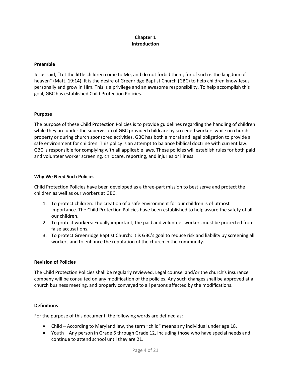#### **Chapter 1 Introduction**

#### **Preamble**

Jesus said, "Let the little children come to Me, and do not forbid them; for of such is the kingdom of heaven" (Matt. 19:14). It is the desire of Greenridge Baptist Church (GBC) to help children know Jesus personally and grow in Him. This is a privilege and an awesome responsibility. To help accomplish this goal, GBC has established Child Protection Policies.

#### **Purpose**

The purpose of these Child Protection Policies is to provide guidelines regarding the handling of children while they are under the supervision of GBC provided childcare by screened workers while on church property or during church sponsored activities. GBC has both a moral and legal obligation to provide a safe environment for children. This policy is an attempt to balance biblical doctrine with current law. GBC is responsible for complying with all applicable laws. These policies will establish rules for both paid and volunteer worker screening, childcare, reporting, and injuries or illness.

#### **Why We Need Such Policies**

Child Protection Policies have been developed as a three-part mission to best serve and protect the children as well as our workers at GBC.

- 1. To protect children: The creation of a safe environment for our children is of utmost importance. The Child Protection Policies have been established to help assure the safety of all our children.
- 2. To protect workers: Equally important, the paid and volunteer workers must be protected from false accusations.
- 3. To protect Greenridge Baptist Church: It is GBC's goal to reduce risk and liability by screening all workers and to enhance the reputation of the church in the community.

#### **Revision of Policies**

The Child Protection Policies shall be regularly reviewed. Legal counsel and/or the church's insurance company will be consulted on any modification of the policies. Any such changes shall be approved at a church business meeting, and properly conveyed to all persons affected by the modifications.

#### **Definitions**

For the purpose of this document, the following words are defined as:

- Child According to Maryland law, the term "child" means any individual under age 18.
- Youth Any person in Grade 6 through Grade 12, including those who have special needs and continue to attend school until they are 21.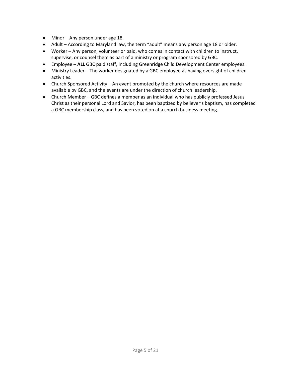- Minor Any person under age 18.
- Adult According to Maryland law, the term "adult" means any person age 18 or older.
- Worker Any person, volunteer or paid, who comes in contact with children to instruct, supervise, or counsel them as part of a ministry or program sponsored by GBC.
- Employee **ALL** GBC paid staff, including Greenridge Child Development Center employees.
- Ministry Leader The worker designated by a GBC employee as having oversight of children activities.
- Church Sponsored Activity An event promoted by the church where resources are made available by GBC, and the events are under the direction of church leadership.
- Church Member GBC defines a member as an individual who has publicly professed Jesus Christ as their personal Lord and Savior, has been baptized by believer's baptism, has completed a GBC membership class, and has been voted on at a church business meeting.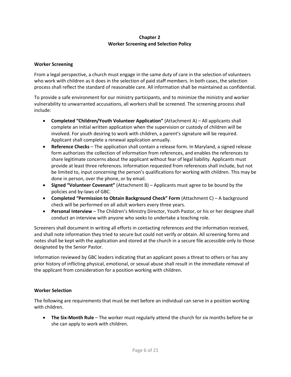#### **Chapter 2 Worker Screening and Selection Policy**

#### **Worker Screening**

From a legal perspective, a church must engage in the same duty of care in the selection of volunteers who work with children as it does in the selection of paid staff members. In both cases, the selection process shall reflect the standard of reasonable care. All information shall be maintained as confidential.

To provide a safe environment for our ministry participants, and to minimize the ministry and worker vulnerability to unwarranted accusations, all workers shall be screened. The screening process shall include:

- **Completed "Children/Youth Volunteer Application"** (Attachment A) All applicants shall complete an initial written application when the supervision or custody of children will be involved. For youth desiring to work with children, a parent's signature will be required. Applicant shall complete a renewal application annually.
- **Reference Checks** The application shall contain a release form. In Maryland, a signed release form authorizes the collection of information from references, and enables the references to share legitimate concerns about the applicant without fear of legal liability. Applicants must provide at least three references. Information requested from references shall include, but not be limited to, input concerning the person's qualifications for working with children. This may be done in person, over the phone, or by email.
- **Signed "Volunteer Covenant"** (Attachment B) Applicants must agree to be bound by the policies and by-laws of GBC.
- **Completed "Permission to Obtain Background Check" Form** (Attachment C) A background check will be performed on all adult workers every three years.
- **Personal Interview** The Children's Ministry Director, Youth Pastor, or his or her designee shall conduct an interview with anyone who seeks to undertake a teaching role.

Screeners shall document in writing all efforts in contacting references and the information received, and shall note information they tried to secure but could not verify or obtain. All screening forms and notes shall be kept with the application and stored at the church in a secure file accessible only to those designated by the Senior Pastor.

Information reviewed by GBC leaders indicating that an applicant poses a threat to others or has any prior history of inflicting physical, emotional, or sexual abuse shall result in the immediate removal of the applicant from consideration for a position working with children.

#### **Worker Selection**

The following are requirements that must be met before an individual can serve in a position working with children.

• **The Six-Month Rule** – The worker must regularly attend the church for six months before he or she can apply to work with children.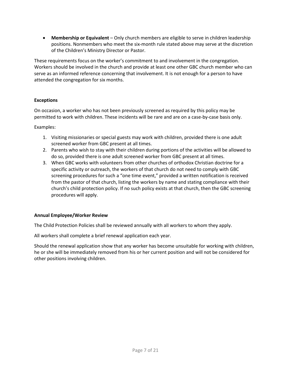• **Membership or Equivalent** – Only church members are eligible to serve in children leadership positions. Nonmembers who meet the six-month rule stated above may serve at the discretion of the Children's Ministry Director or Pastor.

These requirements focus on the worker's commitment to and involvement in the congregation. Workers should be involved in the church and provide at least one other GBC church member who can serve as an informed reference concerning that involvement. It is not enough for a person to have attended the congregation for six months.

#### **Exceptions**

On occasion, a worker who has not been previously screened as required by this policy may be permitted to work with children. These incidents will be rare and are on a case-by-case basis only.

Examples:

- 1. Visiting missionaries or special guests may work with children, provided there is one adult screened worker from GBC present at all times.
- 2. Parents who wish to stay with their children during portions of the activities will be allowed to do so, provided there is one adult screened worker from GBC present at all times.
- 3. When GBC works with volunteers from other churches of orthodox Christian doctrine for a specific activity or outreach, the workers of that church do not need to comply with GBC screening procedures for such a "one time event," provided a written notification is received from the pastor of that church, listing the workers by name and stating compliance with their church's child protection policy. If no such policy exists at that church, then the GBC screening procedures will apply.

#### **Annual Employee/Worker Review**

The Child Protection Policies shall be reviewed annually with all workers to whom they apply.

All workers shall complete a brief renewal application each year.

Should the renewal application show that any worker has become unsuitable for working with children, he or she will be immediately removed from his or her current position and will not be considered for other positions involving children.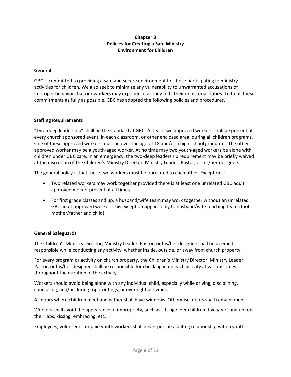#### **Chapter 3 Policies for Creating a Safe Ministry Environment for Children**

#### **General**

GBC is committed to providing a safe and secure environment for those participating in ministry activities for children. We also seek to minimize any vulnerability to unwarranted accusations of improper behavior that our workers may experience as they fulfil their ministerial duties. To fulfill these commitments as fully as possible, GBC has adopted the following policies and procedures.

#### **Staffing Requirements**

"Two-deep leadership" shall be the standard at GBC. At least two approved workers shall be present at every church sponsored event, in each classroom, or other enclosed area, during all children programs. One of these approved workers must be over the age of 18 and/or a high school graduate. The other approved worker may be a youth-aged worker. At no time may two youth-aged workers be alone with children under GBC care. In an emergency, the two-deep leadership requirement may be briefly waived at the discretion of the Children's Ministry Director, Ministry Leader, Pastor, or his/her designee.

The general policy is that these two workers must be unrelated to each other. Exceptions:

- Two related workers may work together provided there is at least one unrelated GBC adult approved worker present at all times.
- For first grade classes and up, a husband/wife team may work together without an unrelated GBC adult approved worker. This exception applies only to husband/wife teaching teams (not mother/father and child).

#### **General Safeguards**

The Children's Ministry Director, Ministry Leader, Pastor, or his/her designee shall be deemed responsible while conducting any activity, whether inside, outside, or away from church property.

For every program or activity on church property, the Children's Ministry Director, Ministry Leader, Pastor, or his/her designee shall be responsible for checking in on each activity at various times throughout the duration of the activity.

Workers should avoid being alone with any individual child, especially while driving, disciplining, counseling, and/or during trips, outings, or overnight activities.

All doors where children meet and gather shall have windows. Otherwise, doors shall remain open.

Workers shall avoid the appearance of impropriety, such as sitting older children (five years and up) on their laps, kissing, embracing, etc.

Employees, volunteers, or paid youth workers shall never pursue a dating relationship with a youth.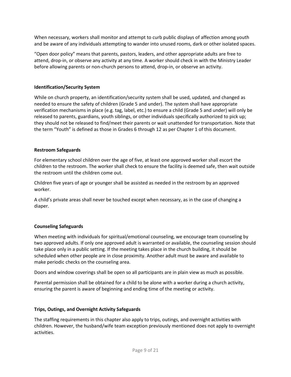When necessary, workers shall monitor and attempt to curb public displays of affection among youth and be aware of any individuals attempting to wander into unused rooms, dark or other isolated spaces.

"Open door policy" means that parents, pastors, leaders, and other appropriate adults are free to attend, drop-in, or observe any activity at any time. A worker should check in with the Ministry Leader before allowing parents or non-church persons to attend, drop-in, or observe an activity.

#### **Identification/Security System**

While on church property, an identification/security system shall be used, updated, and changed as needed to ensure the safety of children (Grade 5 and under). The system shall have appropriate verification mechanisms in place (e.g. tag, label, etc.) to ensure a child (Grade 5 and under) will only be released to parents, guardians, youth siblings, or other individuals specifically authorized to pick up; they should not be released to find/meet their parents or wait unattended for transportation. Note that the term "Youth" is defined as those in Grades 6 through 12 as per Chapter 1 of this document.

#### **Restroom Safeguards**

For elementary school children over the age of five, at least one approved worker shall escort the children to the restroom. The worker shall check to ensure the facility is deemed safe, then wait outside the restroom until the children come out.

Children five years of age or younger shall be assisted as needed in the restroom by an approved worker.

A child's private areas shall never be touched except when necessary, as in the case of changing a diaper.

#### **Counseling Safeguards**

When meeting with individuals for spiritual/emotional counseling, we encourage team counseling by two approved adults. If only one approved adult is warranted or available, the counseling session should take place only in a public setting. If the meeting takes place in the church building, it should be scheduled when other people are in close proximity. Another adult must be aware and available to make periodic checks on the counseling area.

Doors and window coverings shall be open so all participants are in plain view as much as possible.

Parental permission shall be obtained for a child to be alone with a worker during a church activity, ensuring the parent is aware of beginning and ending time of the meeting or activity.

#### **Trips, Outings, and Overnight Activity Safeguards**

The staffing requirements in this chapter also apply to trips, outings, and overnight activities with children. However, the husband/wife team exception previously mentioned does not apply to overnight activities.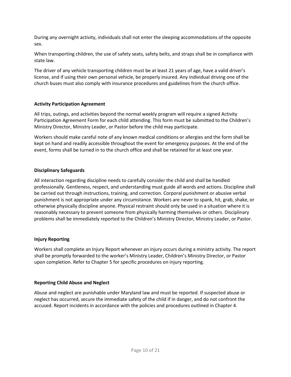During any overnight activity, individuals shall not enter the sleeping accommodations of the opposite sex.

When transporting children, the use of safety seats, safety belts, and straps shall be in compliance with state law.

The driver of any vehicle transporting children must be at least 21 years of age, have a valid driver's license, and if using their own personal vehicle, be properly insured. Any individual driving one of the church buses must also comply with insurance procedures and guidelines from the church office.

#### **Activity Participation Agreement**

All trips, outings, and activities beyond the normal weekly program will require a signed Activity Participation Agreement Form for each child attending. This form must be submitted to the Children's Ministry Director, Ministry Leader, or Pastor before the child may participate.

Workers should make careful note of any known medical conditions or allergies and the form shall be kept on hand and readily accessible throughout the event for emergency purposes. At the end of the event, forms shall be turned in to the church office and shall be retained for at least one year.

#### **Disciplinary Safeguards**

All interaction regarding discipline needs to carefully consider the child and shall be handled professionally. Gentleness, respect, and understanding must guide all words and actions. Discipline shall be carried out through instructions, training, and correction. Corporal punishment or abusive verbal punishment is not appropriate under any circumstance. Workers are never to spank, hit, grab, shake, or otherwise physically discipline anyone. Physical restraint should only be used in a situation where it is reasonably necessary to prevent someone from physically harming themselves or others. Disciplinary problems shall be immediately reported to the Children's Ministry Director, Ministry Leader, or Pastor.

#### **Injury Reporting**

Workers shall complete an Injury Report whenever an injury occurs during a ministry activity. The report shall be promptly forwarded to the worker's Ministry Leader, Children's Ministry Director, or Pastor upon completion. Refer to Chapter 5 for specific procedures on injury reporting.

#### **Reporting Child Abuse and Neglect**

Abuse and neglect are punishable under Maryland law and must be reported. If suspected abuse or neglect has occurred, secure the immediate safety of the child if in danger, and do not confront the accused. Report incidents in accordance with the policies and procedures outlined in Chapter 4.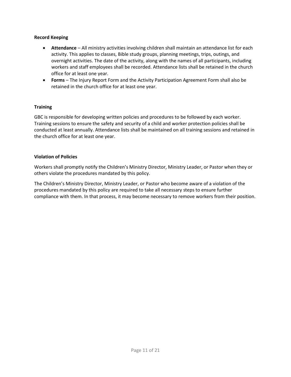#### **Record Keeping**

- **Attendance** All ministry activities involving children shall maintain an attendance list for each activity. This applies to classes, Bible study groups, planning meetings, trips, outings, and overnight activities. The date of the activity, along with the names of all participants, including workers and staff employees shall be recorded. Attendance lists shall be retained in the church office for at least one year.
- **Forms** The Injury Report Form and the Activity Participation Agreement Form shall also be retained in the church office for at least one year.

#### **Training**

GBC is responsible for developing written policies and procedures to be followed by each worker. Training sessions to ensure the safety and security of a child and worker protection policies shall be conducted at least annually. Attendance lists shall be maintained on all training sessions and retained in the church office for at least one year.

#### **Violation of Policies**

Workers shall promptly notify the Children's Ministry Director, Ministry Leader, or Pastor when they or others violate the procedures mandated by this policy.

The Children's Ministry Director, Ministry Leader, or Pastor who become aware of a violation of the procedures mandated by this policy are required to take all necessary steps to ensure further compliance with them. In that process, it may become necessary to remove workers from their position.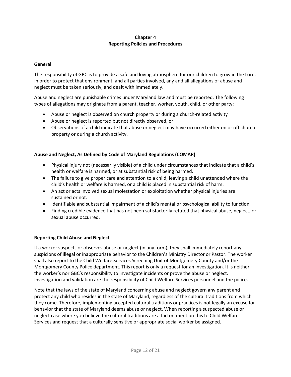#### **Chapter 4 Reporting Policies and Procedures**

#### **General**

The responsibility of GBC is to provide a safe and loving atmosphere for our children to grow in the Lord. In order to protect that environment, and all parties involved, any and all allegations of abuse and neglect must be taken seriously, and dealt with immediately.

Abuse and neglect are punishable crimes under Maryland law and must be reported. The following types of allegations may originate from a parent, teacher, worker, youth, child, or other party:

- Abuse or neglect is observed on church property or during a church-related activity
- Abuse or neglect is reported but not directly observed, or
- Observations of a child indicate that abuse or neglect may have occurred either on or off church property or during a church activity.

#### **Abuse and Neglect, As Defined by Code of Maryland Regulations (COMAR)**

- Physical injury not (necessarily visible) of a child under circumstances that indicate that a child's health or welfare is harmed, or at substantial risk of being harmed.
- The failure to give proper care and attention to a child, leaving a child unattended where the child's health or welfare is harmed, or a child is placed in substantial risk of harm.
- An act or acts involved sexual molestation or exploitation whether physical injuries are sustained or not.
- Identifiable and substantial impairment of a child's mental or psychological ability to function.
- Finding credible evidence that has not been satisfactorily refuted that physical abuse, neglect, or sexual abuse occurred.

#### **Reporting Child Abuse and Neglect**

If a worker suspects or observes abuse or neglect (in any form), they shall immediately report any suspicions of illegal or inappropriate behavior to the Children's Ministry Director or Pastor. The worker shall also report to the Child Welfare Services Screening Unit of Montgomery County and/or the Montgomery County Police department. This report is only a request for an investigation. It is neither the worker's nor GBC's responsibility to investigate incidents or prove the abuse or neglect. Investigation and validation are the responsibility of Child Welfare Services personnel and the police.

Note that the laws of the state of Maryland concerning abuse and neglect govern any parent and protect any child who resides in the state of Maryland, regardless of the cultural traditions from which they come. Therefore, implementing accepted cultural traditions or practices is not legally an excuse for behavior that the state of Maryland deems abuse or neglect. When reporting a suspected abuse or neglect case where you believe the cultural traditions are a factor, mention this to Child Welfare Services and request that a culturally sensitive or appropriate social worker be assigned.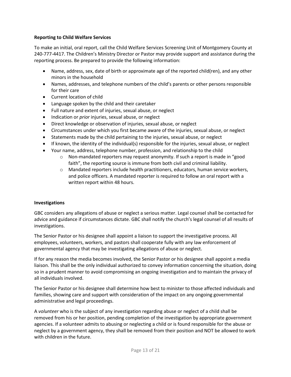#### **Reporting to Child Welfare Services**

To make an initial, oral report, call the Child Welfare Services Screening Unit of Montgomery County at 240-777-4417. The Children's Ministry Director or Pastor may provide support and assistance during the reporting process. Be prepared to provide the following information:

- Name, address, sex, date of birth or approximate age of the reported child(ren), and any other minors in the household
- Names, addresses, and telephone numbers of the child's parents or other persons responsible for their care
- Current location of child
- Language spoken by the child and their caretaker
- Full nature and extent of injuries, sexual abuse, or neglect
- Indication or *prior* injuries, sexual abuse, or neglect
- Direct knowledge or observation of injuries, sexual abuse, or neglect
- Circumstances under which you first became aware of the injuries, sexual abuse, or neglect
- Statements made by the child pertaining to the injuries, sexual abuse, or neglect
- If known, the identity of the individual(s) responsible for the injuries, sexual abuse, or neglect
- Your name, address, telephone number, profession, and relationship to the child
	- $\circ$  Non-mandated reporters may request anonymity. If such a report is made in "good faith", the reporting source is immune from both civil and criminal liability.
	- o Mandated reporters include health practitioners, educators, human service workers, and police officers. A mandated reporter is required to follow an oral report with a written report within 48 hours.

#### **Investigations**

GBC considers any allegations of abuse or neglect a serious matter. Legal counsel shall be contacted for advice and guidance if circumstances dictate. GBC shall notify the church's legal counsel of all results of investigations.

The Senior Pastor or his designee shall appoint a liaison to support the investigative process. All employees, volunteers, workers, and pastors shall cooperate fully with any law enforcement of governmental agency that may be investigating allegations of abuse or neglect.

If for any reason the media becomes involved, the Senior Pastor or his designee shall appoint a media liaison. This shall be the only individual authorized to convey information concerning the situation, doing so in a prudent manner to avoid compromising an ongoing investigation and to maintain the privacy of all individuals involved.

The Senior Pastor or his designee shall determine how best to minister to those affected individuals and families, showing care and support with consideration of the impact on any ongoing governmental administrative and legal proceedings.

A *volunteer* who is the subject of any investigation regarding abuse or neglect of a child shall be removed from his or her position, pending completion of the investigation by appropriate government agencies. If a volunteer admits to abusing or neglecting a child or is found responsible for the abuse or neglect by a government agency, they shall be removed from their position and NOT be allowed to work with children in the future.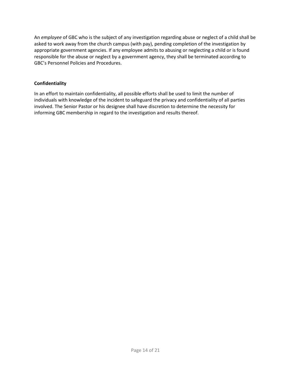An *employee* of GBC who is the subject of any investigation regarding abuse or neglect of a child shall be asked to work away from the church campus (with pay), pending completion of the investigation by appropriate government agencies. If any employee admits to abusing or neglecting a child or is found responsible for the abuse or neglect by a government agency, they shall be terminated according to GBC's Personnel Policies and Procedures.

#### **Confidentiality**

In an effort to maintain confidentiality, all possible efforts shall be used to limit the number of individuals with knowledge of the incident to safeguard the privacy and confidentiality of all parties involved. The Senior Pastor or his designee shall have discretion to determine the necessity for informing GBC membership in regard to the investigation and results thereof.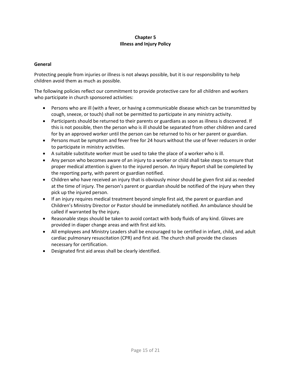#### **Chapter 5 Illness and Injury Policy**

#### **General**

Protecting people from injuries or illness is not always possible, but it is our responsibility to help children avoid them as much as possible.

The following policies reflect our commitment to provide protective care for all children and workers who participate in church sponsored activities:

- Persons who are ill (with a fever, or having a communicable disease which can be transmitted by cough, sneeze, or touch) shall not be permitted to participate in any ministry activity.
- Participants should be returned to their parents or guardians as soon as illness is discovered. If this is not possible, then the person who is ill should be separated from other children and cared for by an approved worker until the person can be returned to his or her parent or guardian.
- Persons must be symptom and fever free for 24 hours without the use of fever reducers in order to participate in ministry activities.
- A suitable substitute worker must be used to take the place of a worker who is ill.
- Any person who becomes aware of an injury to a worker or child shall take steps to ensure that proper medical attention is given to the injured person. An Injury Report shall be completed by the reporting party, with parent or guardian notified.
- Children who have received an injury that is obviously minor should be given first aid as needed at the time of injury. The person's parent or guardian should be notified of the injury when they pick up the injured person.
- If an injury requires medical treatment beyond simple first aid, the parent or guardian and Children's Ministry Director or Pastor should be immediately notified. An ambulance should be called if warranted by the injury.
- Reasonable steps should be taken to avoid contact with body fluids of any kind. Gloves are provided in diaper change areas and with first aid kits.
- All employees and Ministry Leaders shall be encouraged to be certified in infant, child, and adult cardiac pulmonary resuscitation (CPR) and first aid. The church shall provide the classes necessary for certification.
- Designated first aid areas shall be clearly identified.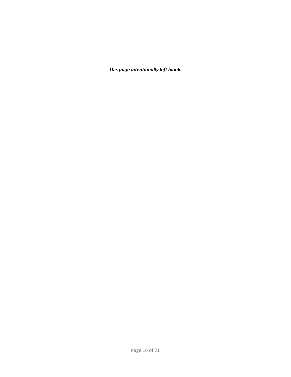*This page intentionally left blank.*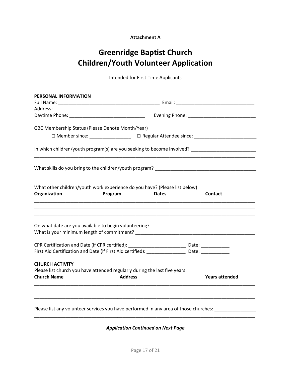#### **Attachment A**

## **Greenridge Baptist Church Children/Youth Volunteer Application**

Intended for First-Time Applicants

| □ Member since: _________________________ □ Regular Attendee since: _______________________________<br>In which children/youth program(s) are you seeking to become involved? ____________________________ |
|------------------------------------------------------------------------------------------------------------------------------------------------------------------------------------------------------------|
|                                                                                                                                                                                                            |
|                                                                                                                                                                                                            |
|                                                                                                                                                                                                            |
|                                                                                                                                                                                                            |
|                                                                                                                                                                                                            |
|                                                                                                                                                                                                            |
|                                                                                                                                                                                                            |
|                                                                                                                                                                                                            |
| <b>Contact</b>                                                                                                                                                                                             |
|                                                                                                                                                                                                            |
| CPR Certification and Date (if CPR certified): __________________________________ Date: __________________                                                                                                 |
| First Aid Certification and Date (if First Aid certified): ___________________ Date: _____________                                                                                                         |
| <b>Years attended</b>                                                                                                                                                                                      |
|                                                                                                                                                                                                            |

*Application Continued on Next Page*

\_\_\_\_\_\_\_\_\_\_\_\_\_\_\_\_\_\_\_\_\_\_\_\_\_\_\_\_\_\_\_\_\_\_\_\_\_\_\_\_\_\_\_\_\_\_\_\_\_\_\_\_\_\_\_\_\_\_\_\_\_\_\_\_\_\_\_\_\_\_\_\_\_\_\_\_\_\_\_\_\_\_\_\_\_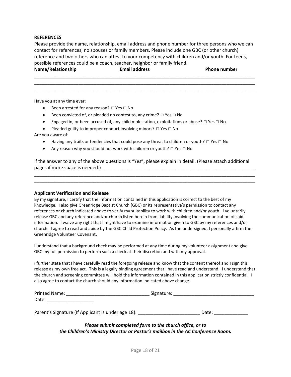#### **REFERENCES**

Please provide the name, relationship, email address and phone number for three persons who we can contact for references, no spouses or family members. Please include one GBC (or other church) reference and two others who can attest to your competency with children and/or youth. For teens, possible references could be a coach, teacher, neighbor or family friend.

\_\_\_\_\_\_\_\_\_\_\_\_\_\_\_\_\_\_\_\_\_\_\_\_\_\_\_\_\_\_\_\_\_\_\_\_\_\_\_\_\_\_\_\_\_\_\_\_\_\_\_\_\_\_\_\_\_\_\_\_\_\_\_\_\_\_\_\_\_\_\_\_\_\_\_\_\_\_\_\_\_\_\_\_\_ \_\_\_\_\_\_\_\_\_\_\_\_\_\_\_\_\_\_\_\_\_\_\_\_\_\_\_\_\_\_\_\_\_\_\_\_\_\_\_\_\_\_\_\_\_\_\_\_\_\_\_\_\_\_\_\_\_\_\_\_\_\_\_\_\_\_\_\_\_\_\_\_\_\_\_\_\_\_\_\_\_\_\_\_\_ \_\_\_\_\_\_\_\_\_\_\_\_\_\_\_\_\_\_\_\_\_\_\_\_\_\_\_\_\_\_\_\_\_\_\_\_\_\_\_\_\_\_\_\_\_\_\_\_\_\_\_\_\_\_\_\_\_\_\_\_\_\_\_\_\_\_\_\_\_\_\_\_\_\_\_\_\_\_\_\_\_\_\_\_\_

**Name/Relationship Email address Phone number**

Have you at any time ever:

- Been arrested for any reason? □ Yes □ No
- Been convicted of, or pleaded no contest to, any crime? □ Yes □ No
- Engaged in, or been accused of, any child molestation, exploitations or abuse?  $\Box$  Yes  $\Box$  No
- Pleaded guilty to improper conduct involving minors? □ Yes □ No

Are you aware of:

- Having any traits or tendencies that could pose any threat to children or youth? □ Yes □ No
- Any reason why you should not work with children or youth? □ Yes □ No

If the answer to any of the above questions is "Yes", please explain in detail. (Please attach additional pages if more space is needed.)

\_\_\_\_\_\_\_\_\_\_\_\_\_\_\_\_\_\_\_\_\_\_\_\_\_\_\_\_\_\_\_\_\_\_\_\_\_\_\_\_\_\_\_\_\_\_\_\_\_\_\_\_\_\_\_\_\_\_\_\_\_\_\_\_\_\_\_\_\_\_\_\_\_\_\_\_\_\_\_\_\_\_\_\_\_ \_\_\_\_\_\_\_\_\_\_\_\_\_\_\_\_\_\_\_\_\_\_\_\_\_\_\_\_\_\_\_\_\_\_\_\_\_\_\_\_\_\_\_\_\_\_\_\_\_\_\_\_\_\_\_\_\_\_\_\_\_\_\_\_\_\_\_\_\_\_\_\_\_\_\_\_\_\_\_\_\_\_\_\_\_

#### **Applicant Verification and Release**

By my signature, I certify that the information contained in this application is correct to the best of my knowledge. I also give Greenridge Baptist Church (GBC) or its representative's permission to contact any references or church indicated above to verify my suitability to work with children and/or youth. I voluntarily release GBC and any reference and/or church listed herein from liability involving the communication of said information. I waive any right that I might have to examine information given to GBC by my references and/or church. I agree to read and abide by the GBC Child Protection Policy. As the undersigned, I personally affirm the Greenridge Volunteer Covenant.

I understand that a background check may be performed at any time during my volunteer assignment and give GBC my full permission to perform such a check at their discretion and with my approval.

I further state that I have carefully read the foregoing release and know that the content thereof and I sign this release as my own free act. This is a legally binding agreement that I have read and understand. I understand that the church and screening committee will hold the information contained in this application strictly confidential. I also agree to contact the church should any information indicated above change.

| <b>Printed Name:</b>                               | Signature: |  |
|----------------------------------------------------|------------|--|
| Date:                                              |            |  |
|                                                    |            |  |
| Parent's Signature (If Applicant is under age 18): | Date:      |  |

*Please submit completed form to the church office, or to the Children's Ministry Director or Pastor's mailbox in the AC Conference Room.*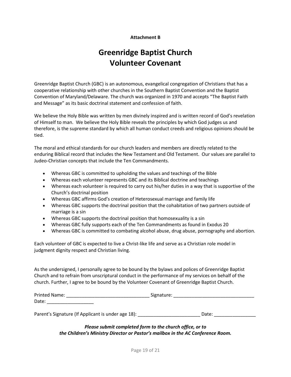#### **Attachment B**

## **Greenridge Baptist Church Volunteer Covenant**

Greenridge Baptist Church (GBC) is an autonomous, evangelical congregation of Christians that has a cooperative relationship with other churches in the Southern Baptist Convention and the Baptist Convention of Maryland/Delaware. The church was organized in 1970 and accepts "The Baptist Faith and Message" as its basic doctrinal statement and confession of faith.

We believe the Holy Bible was written by men divinely inspired and is written record of God's revelation of Himself to man. We believe the Holy Bible reveals the principles by which God judges us and therefore, is the supreme standard by which all human conduct creeds and religious opinions should be tied.

The moral and ethical standards for our church leaders and members are directly related to the enduring Biblical record that includes the New Testament and Old Testament. Our values are parallel to Judeo-Christian concepts that include the Ten Commandments.

- Whereas GBC is committed to upholding the values and teachings of the Bible
- Whereas each volunteer represents GBC and its Biblical doctrine and teachings
- Whereas each volunteer is required to carry out his/her duties in a way that is supportive of the Church's doctrinal position
- Whereas GBC affirms God's creation of Heterosexual marriage and family life
- Whereas GBC supports the doctrinal position that the cohabitation of two partners outside of marriage is a sin
- Whereas GBC supports the doctrinal position that homosexuality is a sin
- Whereas GBC fully supports each of the Ten Commandments as found in Exodus 20
- Whereas GBC is committed to combating alcohol abuse, drug abuse, pornography and abortion.

Each volunteer of GBC is expected to live a Christ-like life and serve as a Christian role model in judgment dignity respect and Christian living.

As the undersigned, I personally agree to be bound by the bylaws and polices of Greenridge Baptist Church and to refrain from unscriptural conduct in the performance of my services on behalf of the church. Further, I agree to be bound by the Volunteer Covenant of Greenridge Baptist Church.

| <b>Printed Name:</b> | Signature: |
|----------------------|------------|
| Date:                |            |

Parent's Signature (If Applicant is under age 18): \_\_\_\_\_\_\_\_\_\_\_\_\_\_\_\_\_\_\_\_\_\_\_\_\_\_\_\_\_ Date: \_\_\_\_\_\_\_\_\_\_\_\_\_\_\_\_\_\_\_\_\_\_\_

#### *Please submit completed form to the church office, or to the Children's Ministry Director or Pastor's mailbox in the AC Conference Room.*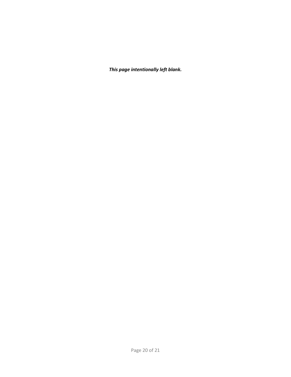*This page intentionally left blank.*